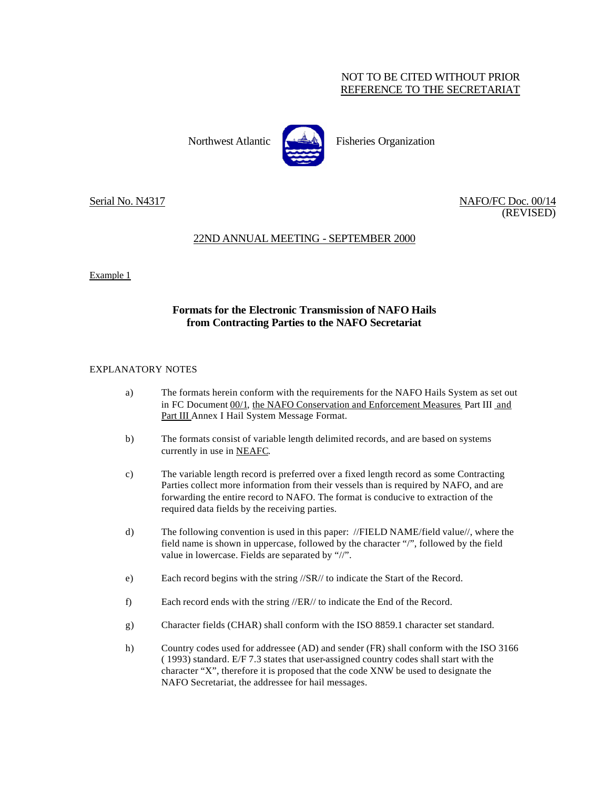### NOT TO BE CITED WITHOUT PRIOR REFERENCE TO THE SECRETARIAT

Northwest Atlantic **Fisheries** Organization



Serial No. N4317 NAFO/FC Doc. 00/14 (REVISED)

# 22ND ANNUAL MEETING - SEPTEMBER 2000

Example 1

## **Formats for the Electronic Transmission of NAFO Hails from Contracting Parties to the NAFO Secretariat**

### EXPLANATORY NOTES

- a) The formats herein conform with the requirements for the NAFO Hails System as set out in FC Document 00/1, the NAFO Conservation and Enforcement Measures Part III and Part III Annex I Hail System Message Format.
- b) The formats consist of variable length delimited records, and are based on systems currently in use in NEAFC.
- c) The variable length record is preferred over a fixed length record as some Contracting Parties collect more information from their vessels than is required by NAFO, and are forwarding the entire record to NAFO. The format is conducive to extraction of the required data fields by the receiving parties.
- d) The following convention is used in this paper: //FIELD NAME/field value//, where the field name is shown in uppercase, followed by the character "/", followed by the field value in lowercase. Fields are separated by "//".
- e) Each record begins with the string //SR// to indicate the Start of the Record.
- f) Each record ends with the string //ER// to indicate the End of the Record.
- g) Character fields (CHAR) shall conform with the ISO 8859.1 character set standard.
- h) Country codes used for addressee (AD) and sender (FR) shall conform with the ISO 3166 ( 1993) standard. E/F 7.3 states that user-assigned country codes shall start with the character "X", therefore it is proposed that the code XNW be used to designate the NAFO Secretariat, the addressee for hail messages.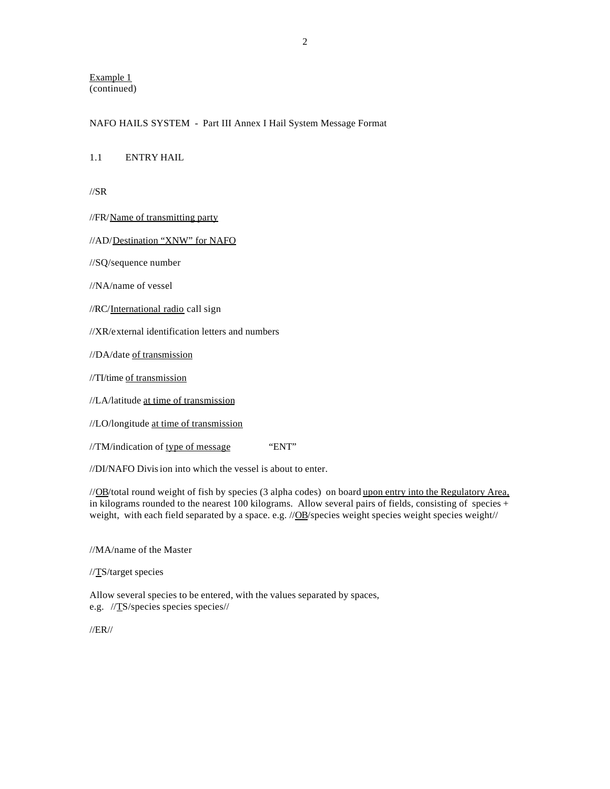Example 1 (continued)

#### NAFO HAILS SYSTEM - Part III Annex I Hail System Message Format

### 1.1 ENTRY HAIL

//SR

//FR/Name of transmitting party

//AD/Destination "XNW" for NAFO

//SQ/sequence number

//NA/name of vessel

//RC/International radio call sign

//XR/external identification letters and numbers

//DA/date of transmission

//TI/time of transmission

//LA/latitude at time of transmission

//LO/longitude at time of transmission

#### $//TM/indication of type of message "ENT"$

//DI/NAFO Division into which the vessel is about to enter.

//OB/total round weight of fish by species (3 alpha codes) on board upon entry into the Regulatory Area, in kilograms rounded to the nearest 100 kilograms. Allow several pairs of fields, consisting of species + weight, with each field separated by a space. e.g. //OB/species weight species weight species weight//

//MA/name of the Master

//TS/target species

Allow several species to be entered, with the values separated by spaces, e.g. //TS/species species species//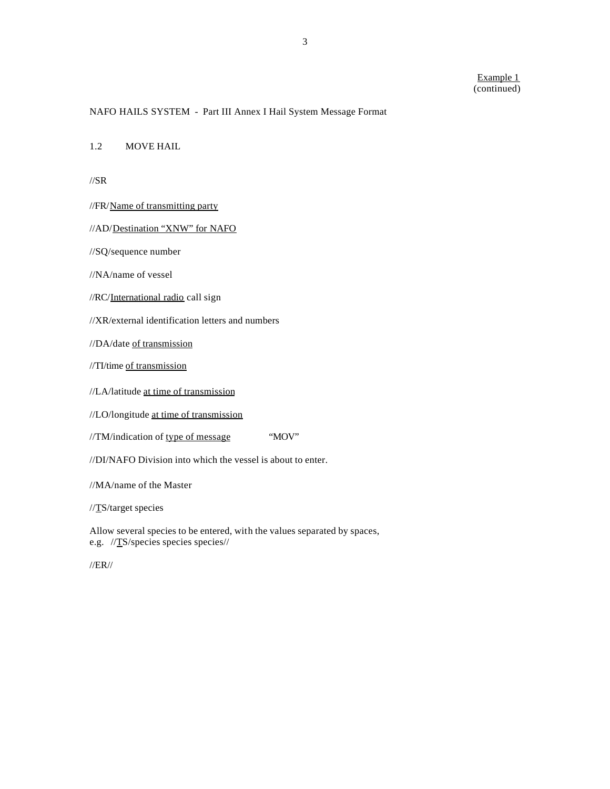### NAFO HAILS SYSTEM - Part III Annex I Hail System Message Format

1.2 MOVE HAIL

 $\frac{\text{1}}{S}$ 

- //FR/Name of transmitting party
- //AD/Destination "XNW" for NAFO
- //SQ/sequence number
- //NA/name of vessel
- //RC/International radio call sign
- //XR/external identification letters and numbers
- //DA/date of transmission
- //TI/time of transmission
- //LA/latitude at time of transmission
- //LO/longitude at time of transmission
- //TM/indication of type of message "MOV"
- //DI/NAFO Division into which the vessel is about to enter.
- //MA/name of the Master
- //TS/target species
- Allow several species to be entered, with the values separated by spaces, e.g. //TS/species species species//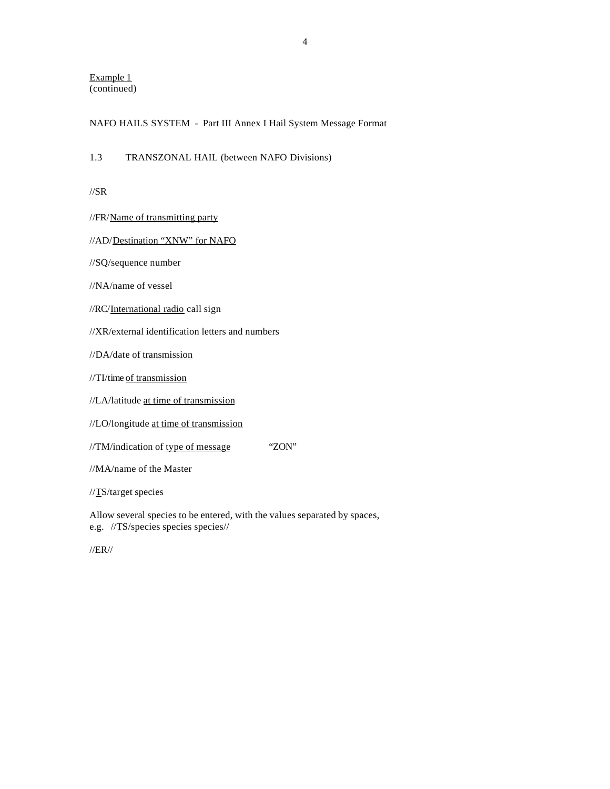Example 1 (continued)

#### NAFO HAILS SYSTEM - Part III Annex I Hail System Message Format

1.3 TRANSZONAL HAIL (between NAFO Divisions)

//SR

|  |  |  |  | //FR/Name of transmitting party |  |  |  |
|--|--|--|--|---------------------------------|--|--|--|
|--|--|--|--|---------------------------------|--|--|--|

### //AD/Destination "XNW" for NAFO

//SQ/sequence number

//NA/name of vessel

//RC/International radio call sign

//XR/external identification letters and numbers

//DA/date of transmission

//TI/time of transmission

//LA/latitude at time of transmission

//LO/longitude at time of transmission

//TM/indication of type of message "ZON"

//MA/name of the Master

//TS/target species

Allow several species to be entered, with the values separated by spaces, e.g. //TS/species species species//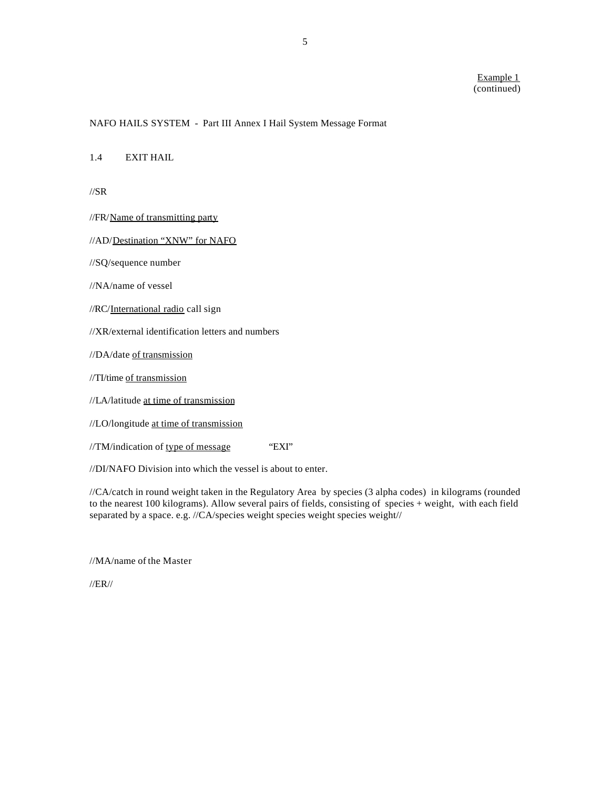#### NAFO HAILS SYSTEM - Part III Annex I Hail System Message Format

1.4 EXIT HAIL

//SR

//FR/Name of transmitting party

//AD/Destination "XNW" for NAFO

//SQ/sequence number

//NA/name of vessel

//RC/International radio call sign

//XR/external identification letters and numbers

//DA/date of transmission

//TI/time of transmission

//LA/latitude at time of transmission

//LO/longitude at time of transmission

 $//TM/indication of type of message "EXT"$ 

//DI/NAFO Division into which the vessel is about to enter.

//CA/catch in round weight taken in the Regulatory Area by species (3 alpha codes) in kilograms (rounded to the nearest 100 kilograms). Allow several pairs of fields, consisting of species + weight, with each field separated by a space. e.g. //CA/species weight species weight species weight//

//MA/name of the Master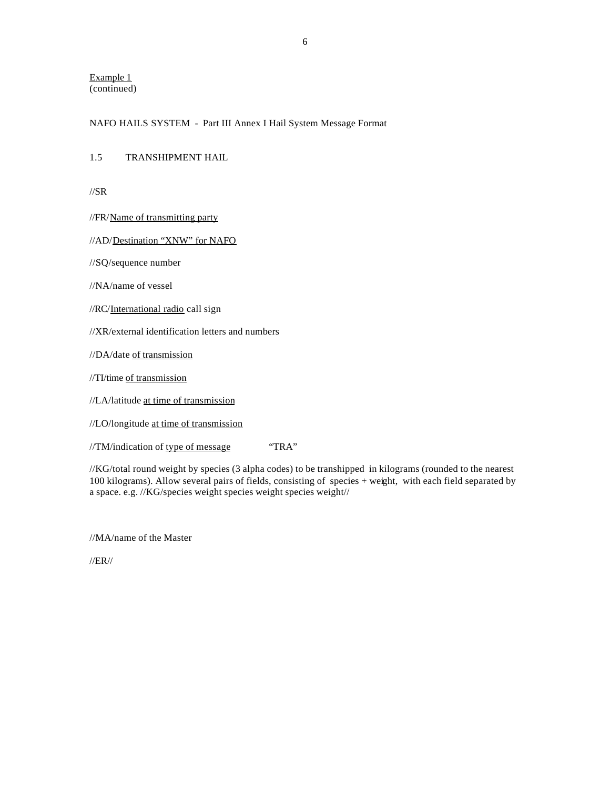Example 1 (continued)

### NAFO HAILS SYSTEM - Part III Annex I Hail System Message Format

1.5 TRANSHIPMENT HAIL

//SR

//FR/Name of transmitting party

//AD/Destination "XNW" for NAFO

//SQ/sequence number

//NA/name of vessel

//RC/International radio call sign

//XR/external identification letters and numbers

//DA/date of transmission

//TI/time of transmission

//LA/latitude at time of transmission

//LO/longitude at time of transmission

//TM/indication of type of message "TRA"

//KG/total round weight by species (3 alpha codes) to be transhipped in kilograms (rounded to the nearest 100 kilograms). Allow several pairs of fields, consisting of species + weight, with each field separated by a space. e.g. //KG/species weight species weight species weight//

//MA/name of the Master